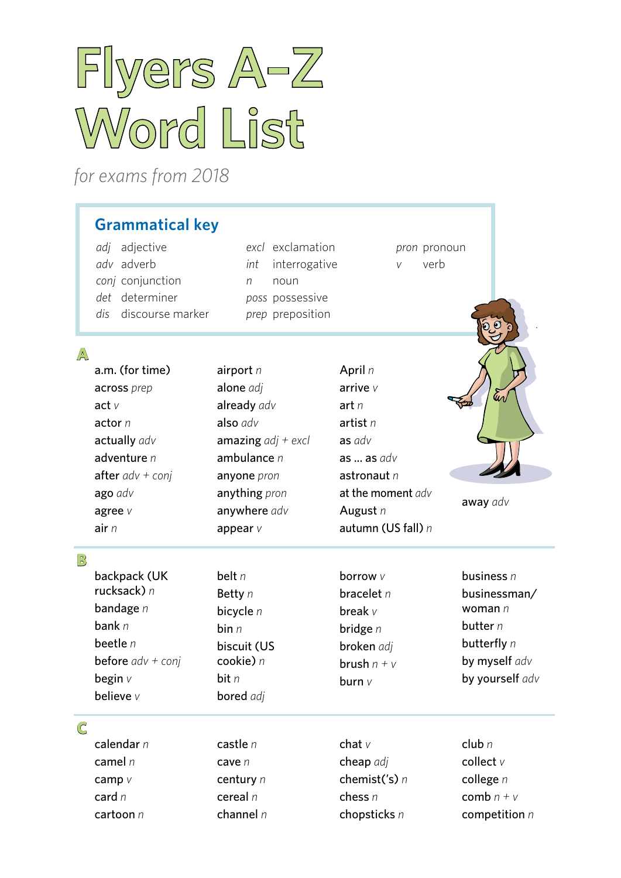# **Flyers A–Z Word List**

*for exams from 2018*

# **Grammatical key**

*adj* adjective *adv* adverb *conj* conjunction *det* determiner *dis* discourse marker *excl* exclamation *int* interrogative *n* noun *poss* possessive *prep* preposition

*pron* pronoun *v* verb

**A**

| A            | a.m. (for time)<br>across prep<br>act $\nu$<br>actor $n$<br>actually adv<br>adventure $n$<br>after $adv + conj$<br>ago adv<br>agree $V$<br>air $n$ | airport $n$<br>alone adj<br>already adv<br>also adv<br>amazing $adj + excl$<br>ambulance $n$<br>anyone pron<br>anything pron<br>anywhere adv<br>appear $V$ | April $n$<br>arrive $\nu$<br>art n<br>artist $n$<br>as adv<br>as $\ldots$ as $adv$<br>astronaut $n$<br>at the moment adv<br>August $n$<br>autumn (US fall) n | En<br>away adv                                                                                             |
|--------------|----------------------------------------------------------------------------------------------------------------------------------------------------|------------------------------------------------------------------------------------------------------------------------------------------------------------|--------------------------------------------------------------------------------------------------------------------------------------------------------------|------------------------------------------------------------------------------------------------------------|
| $\mathbb{B}$ | backpack (UK<br>rucksack) $n$<br>bandage $n$<br>bank $n$<br>beetle $n$<br><b>before</b> $adv + conj$<br>begin $v$<br>believe v                     | belt $n$<br>Betty n<br>bicycle $n$<br>bin n<br>biscuit (US<br>cookie) n<br>bit $n$<br><b>bored</b> adj                                                     | borrow v<br>bracelet $n$<br>break $v$<br>bridge $n$<br>broken adj<br>brush $n + v$<br>burn $V$                                                               | business $n$<br>businessman/<br>woman $n$<br>butter $n$<br>butterfly n<br>by myself adv<br>by yourself adv |

#### **C**

| calendar n | castle $n$  |
|------------|-------------|
| camel n    | cave n      |
| camp $V$   | century $n$ |
| card $n$   | cereal $n$  |
| cartoon n  | channel $n$ |

chat *v* cheap *adj* chemist('s) *n* chess *n* chopsticks *n*

club *n* collect *v* college *n* comb  $n + v$ competition *n*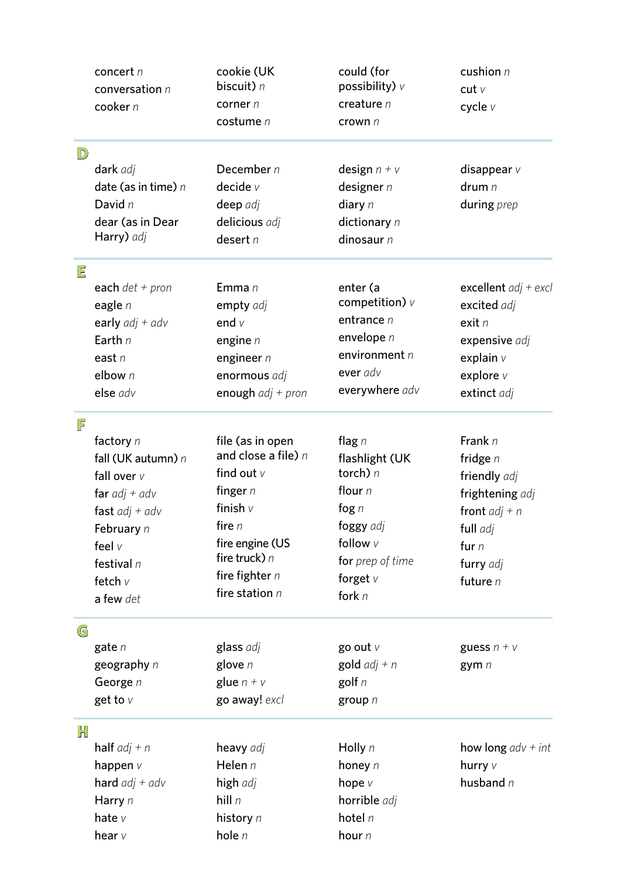|                         | concert n<br>conversation $n$<br>cooker n | cookie (UK<br>biscuit) n<br>corner $n$<br>costume n | could (for<br>possibility) $\nu$<br>creature $n$<br>crown n | cushion n<br>cutv<br>cycle v |
|-------------------------|-------------------------------------------|-----------------------------------------------------|-------------------------------------------------------------|------------------------------|
| $\boxed{\mathbb{D}}$    |                                           |                                                     |                                                             |                              |
|                         | dark adj                                  | December n                                          | design $n + v$                                              | disappear $v$                |
|                         | date (as in time) $n$                     | decide v                                            | designer $n$                                                | drum n                       |
|                         | David n                                   | deep adj                                            | diary $n$                                                   | during prep                  |
|                         | dear (as in Dear                          | delicious adj                                       | dictionary $n$                                              |                              |
|                         | Harry) adj                                | desert $n$                                          | dinosaur $n$                                                |                              |
| $\overline{\mathsf{P}}$ |                                           |                                                     |                                                             |                              |
|                         | each $det + pron$                         | Emma n                                              | enter (a                                                    | excellent $adj + excl$       |
|                         | eagle $n$                                 | empty adj                                           | competition) $\nu$                                          | excited adj                  |
|                         | early $adj + adv$                         | end $V$                                             | entrance $n$                                                | exist n                      |
|                         | Earth $n$                                 | engine $n$                                          | envelope n                                                  | expensive adj                |
|                         | east $n$                                  | engineer $n$                                        | environment n                                               | explain $\nu$                |
|                         | elbow n                                   | enormous adj                                        | ever adv                                                    | explore v                    |
|                         | else adv                                  | enough $adj + pron$                                 | everywhere adv                                              | extinct adj                  |
| F                       |                                           |                                                     |                                                             |                              |
|                         | factory $n$                               | file (as in open                                    | flag $n$                                                    | Frank $n$                    |
|                         | fall (UK autumn) n                        | and close a file) $n$                               | flashlight (UK                                              | fridge $n$                   |
|                         | fall over $v$                             | find out $v$                                        | torch) $n$                                                  | friendly adj                 |
|                         | far $adj + adv$                           | finger $n$                                          | flour $n$                                                   | frightening adj              |
|                         | fast $adj + adv$                          | finish $v$                                          | fog $n$                                                     | front $adj + n$              |
|                         | February n                                | fire $n$                                            | foggy adj                                                   | full adj                     |
|                         | feel $V$                                  | fire engine (US                                     | follow v                                                    | fur $n$                      |
|                         | festival $n$                              | fire truck) $n$                                     | for prep of time                                            | furry adj                    |
|                         | fetch v                                   | fire fighter $n$                                    | forget $V$                                                  | future $n$                   |
|                         | a few det                                 | fire station $n$                                    | fork $n$                                                    |                              |
| G                       |                                           |                                                     |                                                             |                              |
|                         | gate $n$                                  | glass adj                                           | go out $V$                                                  | guess $n + v$                |
|                         | geography n                               | glove $n$                                           | gold $adj + n$                                              | gym n                        |
|                         | George n                                  | glue $n + v$                                        | golf $n$                                                    |                              |
|                         | get to $V$                                | go away! excl                                       | group $n$                                                   |                              |
| H                       |                                           |                                                     |                                                             |                              |
|                         | <b>half</b> $adj + n$                     | heavy adj                                           | Holly $n$                                                   | how long $adv + int$         |
|                         | happen $\nu$                              | Helen n                                             | honey $n$                                                   | hurry v                      |
|                         | hard $adj + adv$                          | high adj                                            | hope $V$                                                    | husband $n$                  |
|                         | Harry n                                   | hill $n$                                            | horrible adj                                                |                              |
|                         | hate $v$                                  | history n                                           | hotel $n$                                                   |                              |
|                         | hear $v$                                  | hole n                                              | hour n                                                      |                              |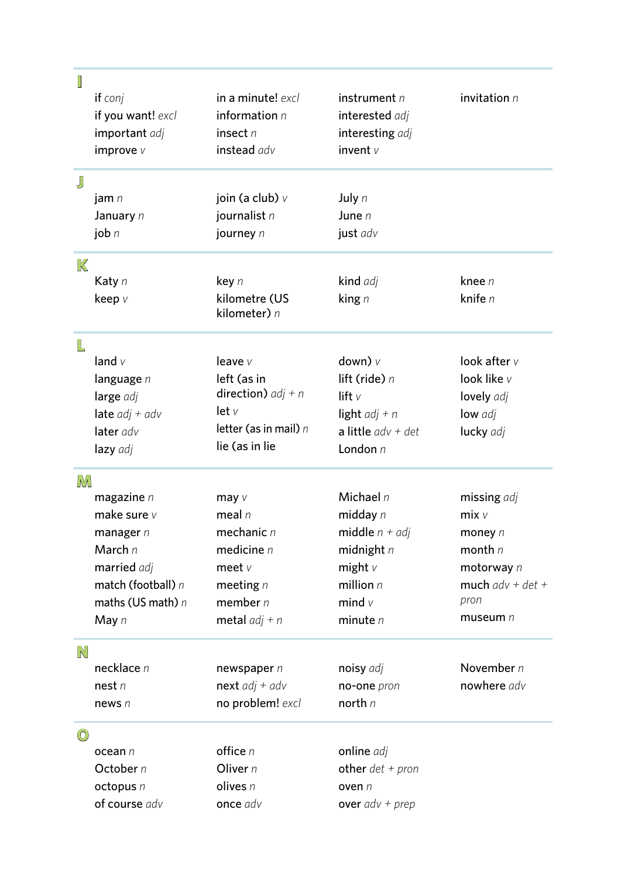| I       |                     |                               |                      |                    |
|---------|---------------------|-------------------------------|----------------------|--------------------|
|         | if conj             | in a minute! excl             | instrument $n$       | invitation $n$     |
|         | if you want! excl   | information $n$               | interested adj       |                    |
|         | important adj       | insect $n$                    | interesting adj      |                    |
|         | improve $V$         | instead adv                   | invent $\nu$         |                    |
| J       |                     |                               |                      |                    |
|         | jam $n$             | join (a club) $\vee$          | July $n$             |                    |
|         | January n           | journalist n                  | June $n$             |                    |
|         | job $n$             | journey n                     | just adv             |                    |
| K       |                     |                               |                      |                    |
|         | Katy n              | key n                         | kind adj             | knee $n$           |
|         | keep v              | kilometre (US<br>kilometer) n | king $n$             | knife n            |
| L       |                     |                               |                      |                    |
|         | land $v$            | leave $V$                     | down) $\nu$          | look after $v$     |
|         | language $n$        | left (as in                   | lift (ride) $n$      | look like v        |
|         | large adj           | <b>direction)</b> $adj + n$   | lift $\vee$          | lovely adj         |
|         | late $adj + adv$    | let v                         | light $adj + n$      | low adj            |
|         | later adv           | letter (as in mail) $n$       | a little $adv + det$ | lucky adj          |
|         | lazy adj            | lie (as in lie                | London $n$           |                    |
| M       |                     |                               |                      |                    |
|         | magazine $n$        | may $V$                       | Michael $n$          | missing adj        |
|         | make sure $v$       | meal $n$                      | midday $n$           | $mix$ $v$          |
|         | manager $n$         | mechanic $n$                  | middle $n + adj$     | money $n$          |
|         | March n             | medicine $n$                  | midnight $n$         | month $n$          |
|         | married adj         | meet $v$                      | might $v$            | motorway n         |
|         | match (football) n  | meeting $n$                   | million $n$          | much $adv + det +$ |
|         | maths (US math) $n$ | member $n$                    | mind $v$             | pron               |
|         | May $n$             | metal $adj + n$               | minute $n$           | museum $n$         |
| N       |                     |                               |                      |                    |
|         | necklace n          | newspaper $n$                 | noisy adj            | November n         |
|         | nest n              | next $adj + adv$              | no-one pron          | nowhere adv        |
|         | news $n$            | no problem! excl              | north $n$            |                    |
| $\odot$ |                     |                               |                      |                    |
|         | ocean n             | office $n$                    | online adj           |                    |
|         | October n           | Oliver $n$                    | other $det + pron$   |                    |
|         | octopus n           | olives $n$                    | oven $n$             |                    |
|         | of course adv       | once adv                      | over $adv + prep$    |                    |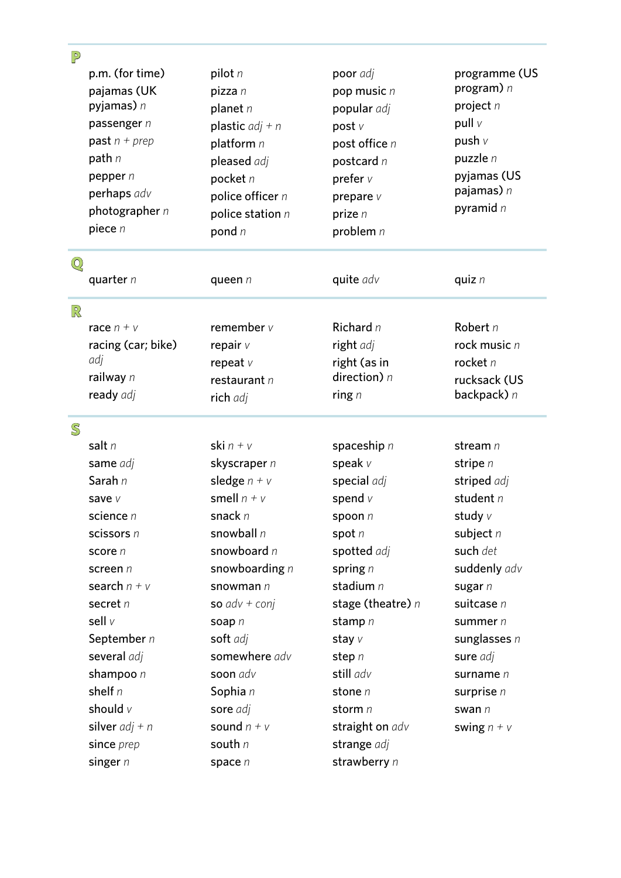| P                                                                                                                                                                                                                                           |                                                                                                                                                                                                                                                                       |                                                                                                                                                                                                                                                              |                                                                                                                                                                                                                                             |
|---------------------------------------------------------------------------------------------------------------------------------------------------------------------------------------------------------------------------------------------|-----------------------------------------------------------------------------------------------------------------------------------------------------------------------------------------------------------------------------------------------------------------------|--------------------------------------------------------------------------------------------------------------------------------------------------------------------------------------------------------------------------------------------------------------|---------------------------------------------------------------------------------------------------------------------------------------------------------------------------------------------------------------------------------------------|
| p.m. (for time)<br>pajamas (UK<br>pyjamas) n<br>passenger n<br>past $n + prep$<br>path n<br>pepper $n$<br>perhaps adv<br>photographer $n$<br>piece $n$                                                                                      | pilot $n$<br>pizza n<br>planet $n$<br>plastic $adj + n$<br>platform n<br>pleased adj<br>pocket n<br>police officer n<br>police station $n$<br>pond $n$                                                                                                                | poor adj<br>pop music n<br>popular adj<br>post v<br>post office n<br>postcard n<br>prefer $v$<br>prepare v<br>prize $n$<br>problem $n$                                                                                                                       | programme (US<br>program) $n$<br>project n<br>pull v<br>push v<br>puzzle $n$<br>pyjamas (US<br>pajamas) n<br>pyramid $n$                                                                                                                    |
| $\odot$<br>quarter $n$                                                                                                                                                                                                                      | queen $n$                                                                                                                                                                                                                                                             | quite adv                                                                                                                                                                                                                                                    | quiz $n$                                                                                                                                                                                                                                    |
| R<br>race $n + v$<br>racing (car; bike)<br>adj<br>railway n<br>ready adj                                                                                                                                                                    | remember $v$<br>repair $V$<br>repeat $v$<br>restaurant n<br>rich adj                                                                                                                                                                                                  | Richard $n$<br>right adj<br>right (as in<br>direction) $n$<br>ring $n$                                                                                                                                                                                       | Robert n<br>rock music $n$<br>rocket $n$<br>rucksack (US<br>backpack) $n$                                                                                                                                                                   |
| $\mathbb S$                                                                                                                                                                                                                                 |                                                                                                                                                                                                                                                                       |                                                                                                                                                                                                                                                              |                                                                                                                                                                                                                                             |
| salt n<br>same adj<br>Sarah n<br>save v<br>science $n$<br>scissors n<br>score n<br>screen n<br>search $n + v$<br>secret n<br>sell v<br>September n<br>several adj<br>shampoo n<br>shelf $n$<br>should $V$<br>silver $adj + n$<br>since prep | ski $n + v$<br>skyscraper n<br>sledge $n + v$<br>smell $n + v$<br>snack n<br>snowball $n$<br>snowboard n<br>snowboarding $n$<br>snowman $n$<br>so $adv + conj$<br>soap n<br>soft adj<br>somewhere adv<br>soon adv<br>Sophia n<br>sore adj<br>sound $n + v$<br>south n | spaceship $n$<br>speak $V$<br>special adj<br>spend $v$<br>spoon n<br>spot $n$<br>spotted adj<br>spring $n$<br>stadium n<br>stage (theatre) $n$<br>stamp $n$<br>stay $V$<br>step $n$<br>still adv<br>stone $n$<br>storm $n$<br>straight on adv<br>strange adj | stream $n$<br>stripe n<br>striped adj<br>student $n$<br>study v<br>subject $n$<br>such det<br>suddenly adv<br>sugar n<br>suitcase n<br>summer $n$<br>sunglasses $n$<br>sure adj<br>surname $n$<br>surprise $n$<br>swan $n$<br>swing $n + v$ |

strawberry *n*

singer *n*

space *n*